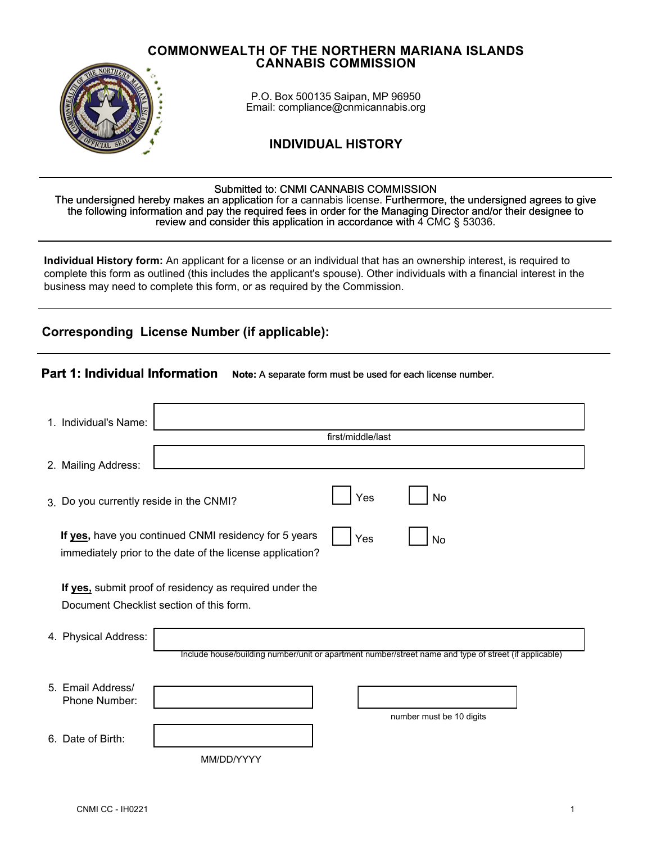#### **COMMONWEALTH OF THE NORTHERN MARIANA ISLANDS CANNABIS COMMISSION**



P.O. Box 500135 Saipan, MP 96950 Email: compliance@cnmicannabis.org

# **INDIVIDUAL HISTORY**

#### Submitted to: CNMI CANNABIS COMMISSION

The undersigned hereby makes an application for a cannabis license. Furthermore, the undersigned agrees to give the following information and pay the required fees in order for the Managing Director and/or their designee to review and consider this application in accordance with  $4$  CMC  $\S$  53036.

**Individual History form:** An applicant for a license or an individual that has an ownership interest, is required to complete this form as outlined (this includes the applicant's spouse). Other individuals with a financial interest in the business may need to complete this form, or as required by the Commission.

**Part 1: Individual Information <b>Note:** A separate form must be used for each license number.

# **Corresponding License Number (if applicable):**

|                                                                                                                                 |                                                                                                       |     | <b>Note:</b> 77 coparato 101111 maot bo about for caori floorido Humbor. |  |  |
|---------------------------------------------------------------------------------------------------------------------------------|-------------------------------------------------------------------------------------------------------|-----|--------------------------------------------------------------------------|--|--|
| 1. Individual's Name:                                                                                                           |                                                                                                       |     |                                                                          |  |  |
|                                                                                                                                 | first/middle/last                                                                                     |     |                                                                          |  |  |
| 2. Mailing Address:                                                                                                             |                                                                                                       |     |                                                                          |  |  |
| 3. Do you currently reside in the CNMI?                                                                                         |                                                                                                       | Yes | No                                                                       |  |  |
| If yes, have you continued CNMI residency for 5 years<br>Yes<br>No<br>immediately prior to the date of the license application? |                                                                                                       |     |                                                                          |  |  |
| If yes, submit proof of residency as required under the<br>Document Checklist section of this form.                             |                                                                                                       |     |                                                                          |  |  |
| 4. Physical Address:                                                                                                            |                                                                                                       |     |                                                                          |  |  |
|                                                                                                                                 | Include house/building number/unit or apartment number/street name and type of street (if applicable) |     |                                                                          |  |  |
| 5. Email Address/                                                                                                               |                                                                                                       |     |                                                                          |  |  |
| Phone Number:                                                                                                                   |                                                                                                       |     |                                                                          |  |  |
|                                                                                                                                 |                                                                                                       |     | number must be 10 digits                                                 |  |  |
| Date of Birth:<br>6.                                                                                                            |                                                                                                       |     |                                                                          |  |  |
|                                                                                                                                 | MM/DD/YYYY                                                                                            |     |                                                                          |  |  |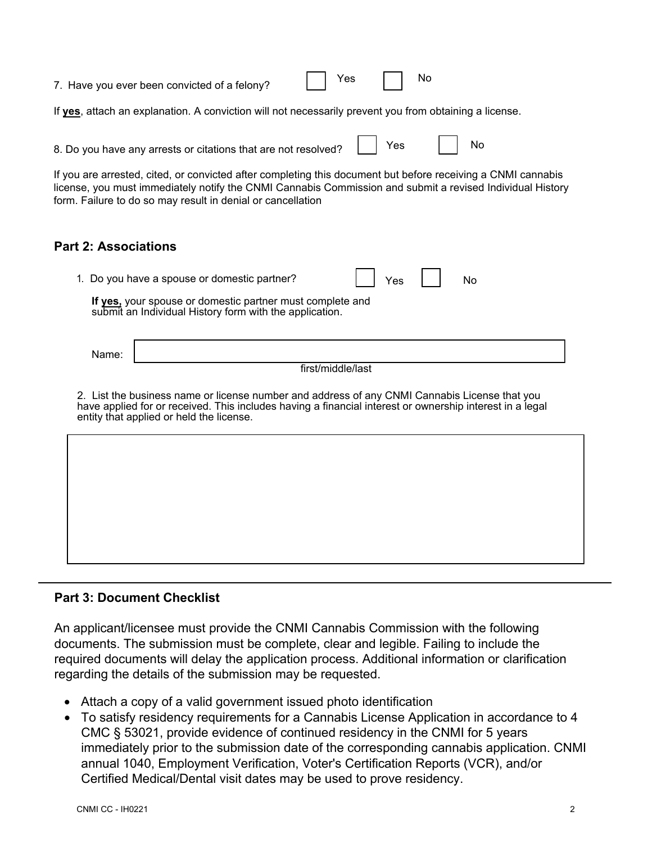| No<br>Yes<br>7. Have you ever been convicted of a felony?                                                                                                                                                                                                                                |  |  |  |  |  |  |
|------------------------------------------------------------------------------------------------------------------------------------------------------------------------------------------------------------------------------------------------------------------------------------------|--|--|--|--|--|--|
| If yes, attach an explanation. A conviction will not necessarily prevent you from obtaining a license.                                                                                                                                                                                   |  |  |  |  |  |  |
| Yes<br>No<br>8. Do you have any arrests or citations that are not resolved?                                                                                                                                                                                                              |  |  |  |  |  |  |
| If you are arrested, cited, or convicted after completing this document but before receiving a CNMI cannabis<br>license, you must immediately notify the CNMI Cannabis Commission and submit a revised Individual History<br>form. Failure to do so may result in denial or cancellation |  |  |  |  |  |  |
| <b>Part 2: Associations</b>                                                                                                                                                                                                                                                              |  |  |  |  |  |  |
| 1. Do you have a spouse or domestic partner?<br>Yes<br>No<br>If yes, your spouse or domestic partner must complete and<br>submit an Individual History form with the application.                                                                                                        |  |  |  |  |  |  |
| Name:                                                                                                                                                                                                                                                                                    |  |  |  |  |  |  |
| first/middle/last<br>2. List the business name or license number and address of any CNMI Cannabis License that you                                                                                                                                                                       |  |  |  |  |  |  |
| have applied for or received. This includes having a financial interest or ownership interest in a legal<br>entity that applied or held the license.                                                                                                                                     |  |  |  |  |  |  |
|                                                                                                                                                                                                                                                                                          |  |  |  |  |  |  |
|                                                                                                                                                                                                                                                                                          |  |  |  |  |  |  |
|                                                                                                                                                                                                                                                                                          |  |  |  |  |  |  |
|                                                                                                                                                                                                                                                                                          |  |  |  |  |  |  |

## **Part 3: Document Checklist**

An applicant/licensee must provide the CNMI Cannabis Commission with the following documents. The submission must be complete, clear and legible. Failing to include the required documents will delay the application process. Additional information or clarification regarding the details of the submission may be requested.

- Attach a copy of a valid government issued photo identification
- To satisfy residency requirements for a Cannabis License Application in accordance to 4 CMC § 53021, provide evidence of continued residency in the CNMI for 5 years immediately prior to the submission date of the corresponding cannabis application. CNMI annual 1040, Employment Verification, Voter's Certification Reports (VCR), and/or Certified Medical/Dental visit dates may be used to prove residency.